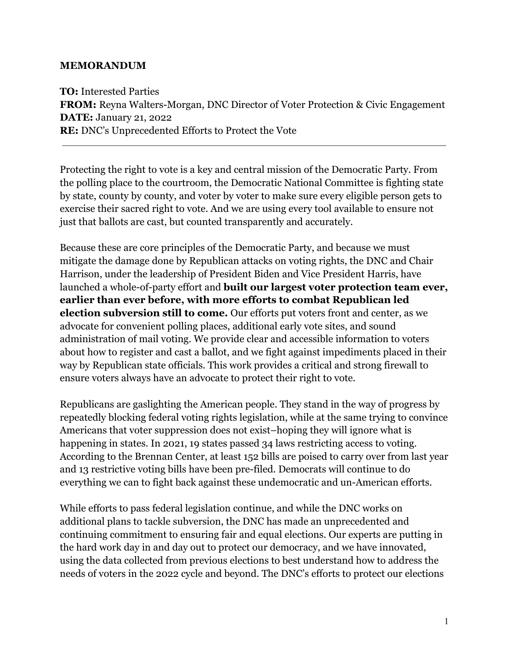#### **MEMORANDUM**

**TO:** Interested Parties **FROM:** Reyna Walters-Morgan, DNC Director of Voter Protection & Civic Engagement **DATE:** January 21, 2022 **RE:** DNC's Unprecedented Efforts to Protect the Vote

Protecting the right to vote is a key and central mission of the Democratic Party. From the polling place to the courtroom, the Democratic National Committee is fighting state by state, county by county, and voter by voter to make sure every eligible person gets to exercise their sacred right to vote. And we are using every tool available to ensure not just that ballots are cast, but counted transparently and accurately.

Because these are core principles of the Democratic Party, and because we must mitigate the damage done by Republican attacks on voting rights, the DNC and Chair Harrison, under the leadership of President Biden and Vice President Harris, have launched a whole-of-party effort and **built our largest voter protection team ever, earlier than ever before, with more efforts to combat Republican led election subversion still to come.** Our efforts put voters front and center, as we advocate for convenient polling places, additional early vote sites, and sound administration of mail voting. We provide clear and accessible information to voters about how to register and cast a ballot, and we fight against impediments placed in their way by Republican state officials. This work provides a critical and strong firewall to ensure voters always have an advocate to protect their right to vote.

Republicans are gaslighting the American people. They stand in the way of progress by repeatedly blocking federal voting rights legislation, while at the same trying to convince Americans that voter suppression does not exist–hoping they will ignore what is happening in states. In 2021, 19 states passed 34 laws restricting access to voting. According to the Brennan Center, at least 152 bills are poised to carry over from last year and 13 restrictive voting bills have been pre-filed. Democrats will continue to do everything we can to fight back against these undemocratic and un-American efforts.

While efforts to pass federal legislation continue, and while the DNC works on additional plans to tackle subversion, the DNC has made an unprecedented and continuing commitment to ensuring fair and equal elections. Our experts are putting in the hard work day in and day out to protect our democracy, and we have innovated, using the data collected from previous elections to best understand how to address the needs of voters in the 2022 cycle and beyond. The DNC's efforts to protect our elections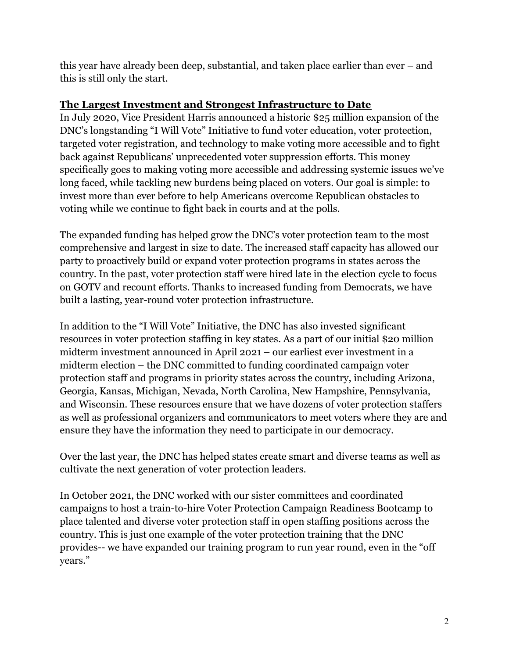this year have already been deep, substantial, and taken place earlier than ever – and this is still only the start.

# **The Largest Investment and Strongest Infrastructure to Date**

In July 2020, Vice President Harris announced a historic \$25 million expansion of the DNC's longstanding "I Will Vote" Initiative to fund voter education, voter protection, targeted voter registration, and technology to make voting more accessible and to fight back against Republicans' unprecedented voter suppression efforts. This money specifically goes to making voting more accessible and addressing systemic issues we've long faced, while tackling new burdens being placed on voters. Our goal is simple: to invest more than ever before to help Americans overcome Republican obstacles to voting while we continue to fight back in courts and at the polls.

The expanded funding has helped grow the DNC's voter protection team to the most comprehensive and largest in size to date. The increased staff capacity has allowed our party to proactively build or expand voter protection programs in states across the country. In the past, voter protection staff were hired late in the election cycle to focus on GOTV and recount efforts. Thanks to increased funding from Democrats, we have built a lasting, year-round voter protection infrastructure.

In addition to the "I Will Vote" Initiative, the DNC has also invested significant resources in voter protection staffing in key states. As a part of our initial \$20 million midterm investment announced in April 2021 – our earliest ever investment in a midterm election – the DNC committed to funding coordinated campaign voter protection staff and programs in priority states across the country, including Arizona, Georgia, Kansas, Michigan, Nevada, North Carolina, New Hampshire, Pennsylvania, and Wisconsin. These resources ensure that we have dozens of voter protection staffers as well as professional organizers and communicators to meet voters where they are and ensure they have the information they need to participate in our democracy.

Over the last year, the DNC has helped states create smart and diverse teams as well as cultivate the next generation of voter protection leaders.

In October 2021, the DNC worked with our sister committees and coordinated campaigns to host a train-to-hire Voter Protection Campaign Readiness Bootcamp to place talented and diverse voter protection staff in open staffing positions across the country. This is just one example of the voter protection training that the DNC provides-- we have expanded our training program to run year round, even in the "off years."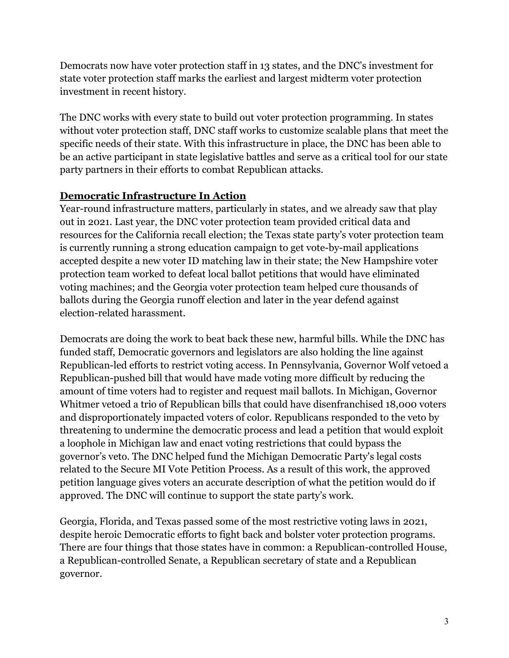Democrats now have voter protection staff in 13 states, and the DNC's investment for state voter protection staff marks the earliest and largest midterm voter protection investment in recent history.

The DNC works with every state to build out voter protection programming. In states without voter protection staff, DNC staff works to customize scalable plans that meet the specific needs of their state. With this infrastructure in place, the DNC has been able to be an active participant in state legislative battles and serve as a critical tool for our state party partners in their efforts to combat Republican attacks.

## **Democratic Infrastructure In Action**

Year-round infrastructure matters, particularly in states, and we already saw that play out in 2021. Last year, the DNC voter protection team provided critical data and resources for the California recall election; the Texas state party's voter protection team is currently running a strong education campaign to get vote-by-mail applications accepted despite a new voter ID matching law in their state; the New Hampshire voter protection team worked to defeat local ballot petitions that would have eliminated voting machines; and the Georgia voter protection team helped cure thousands of ballots during the Georgia runoff election and later in the year defend against election-related harassment.

Democrats are doing the work to beat back these new, harmful bills. While the DNC has funded staff, Democratic governors and legislators are also holding the line against Republican-led efforts to restrict voting access. In Pennsylvania, Governor Wolf vetoed a Republican-pushed bill that would have made voting more difficult by reducing the amount of time voters had to register and request mail ballots. In Michigan, Governor Whitmer vetoed a trio of Republican bills that could have disenfranchised 18,000 voters and disproportionately impacted voters of color. Republicans responded to the veto by threatening to undermine the democratic process and lead a petition that would exploit a loophole in Michigan law and enact voting restrictions that could bypass the governor's veto. The DNC helped fund the Michigan Democratic Party's legal costs related to the Secure MI Vote Petition Process. As a result of this work, the approved petition language gives voters an accurate description of what the petition would do if approved. The DNC will continue to support the state party's work.

Georgia, Florida, and Texas passed some of the most restrictive voting laws in 2021, despite heroic Democratic efforts to fight back and bolster voter protection programs. There are four things that those states have in common: a Republican-controlled House, a Republican-controlled Senate, a Republican secretary of state and a Republican governor.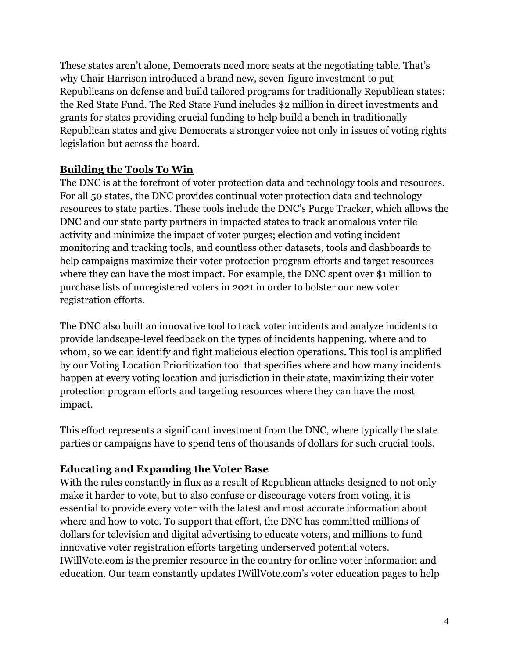These states aren't alone, Democrats need more seats at the negotiating table. That's why Chair Harrison introduced a brand new, seven-figure investment to put Republicans on defense and build tailored programs for traditionally Republican states: the Red State Fund. The Red State Fund includes \$2 million in direct investments and grants for states providing crucial funding to help build a bench in traditionally Republican states and give Democrats a stronger voice not only in issues of voting rights legislation but across the board.

# **Building the Tools To Win**

The DNC is at the forefront of voter protection data and technology tools and resources. For all 50 states, the DNC provides continual voter protection data and technology resources to state parties. These tools include the DNC's Purge Tracker, which allows the DNC and our state party partners in impacted states to track anomalous voter file activity and minimize the impact of voter purges; election and voting incident monitoring and tracking tools, and countless other datasets, tools and dashboards to help campaigns maximize their voter protection program efforts and target resources where they can have the most impact. For example, the DNC spent over \$1 million to purchase lists of unregistered voters in 2021 in order to bolster our new voter registration efforts.

The DNC also built an innovative tool to track voter incidents and analyze incidents to provide landscape-level feedback on the types of incidents happening, where and to whom, so we can identify and fight malicious election operations. This tool is amplified by our Voting Location Prioritization tool that specifies where and how many incidents happen at every voting location and jurisdiction in their state, maximizing their voter protection program efforts and targeting resources where they can have the most impact.

This effort represents a significant investment from the DNC, where typically the state parties or campaigns have to spend tens of thousands of dollars for such crucial tools.

## **Educating and Expanding the Voter Base**

With the rules constantly in flux as a result of Republican attacks designed to not only make it harder to vote, but to also confuse or discourage voters from voting, it is essential to provide every voter with the latest and most accurate information about where and how to vote. To support that effort, the DNC has committed millions of dollars for television and digital advertising to educate voters, and millions to fund innovative voter registration efforts targeting underserved potential voters. IWillVote.com is the premier resource in the country for online voter information and education. Our team constantly updates IWillVote.com's voter education pages to help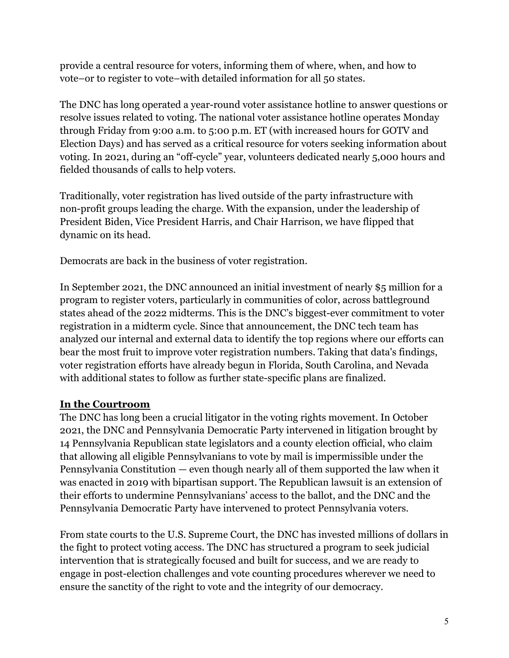provide a central resource for voters, informing them of where, when, and how to vote–or to register to vote–with detailed information for all 50 states.

The DNC has long operated a year-round voter assistance hotline to answer questions or resolve issues related to voting. The national voter assistance hotline operates Monday through Friday from 9:00 a.m. to 5:00 p.m. ET (with increased hours for GOTV and Election Days) and has served as a critical resource for voters seeking information about voting. In 2021, during an "off-cycle" year, volunteers dedicated nearly 5,000 hours and fielded thousands of calls to help voters.

Traditionally, voter registration has lived outside of the party infrastructure with non-profit groups leading the charge. With the expansion, under the leadership of President Biden, Vice President Harris, and Chair Harrison, we have flipped that dynamic on its head.

Democrats are back in the business of voter registration.

In September 2021, the DNC announced an initial investment of nearly \$5 million for a program to register voters, particularly in communities of color, across battleground states ahead of the 2022 midterms. This is the DNC's biggest-ever commitment to voter registration in a midterm cycle. Since that announcement, the DNC tech team has analyzed our internal and external data to identify the top regions where our efforts can bear the most fruit to improve voter registration numbers. Taking that data's findings, voter registration efforts have already begun in Florida, South Carolina, and Nevada with additional states to follow as further state-specific plans are finalized.

#### **In the Courtroom**

The DNC has long been a crucial litigator in the voting rights movement. In October 2021, the DNC and Pennsylvania Democratic Party intervened in litigation brought by 14 Pennsylvania Republican state legislators and a county election official, who claim that allowing all eligible Pennsylvanians to vote by mail is impermissible under the Pennsylvania Constitution — even though nearly all of them supported the law when it was enacted in 2019 with bipartisan support. The Republican lawsuit is an extension of their efforts to undermine Pennsylvanians' access to the ballot, and the DNC and the Pennsylvania Democratic Party have intervened to protect Pennsylvania voters.

From state courts to the U.S. Supreme Court, the DNC has invested millions of dollars in the fight to protect voting access. The DNC has structured a program to seek judicial intervention that is strategically focused and built for success, and we are ready to engage in post-election challenges and vote counting procedures wherever we need to ensure the sanctity of the right to vote and the integrity of our democracy.